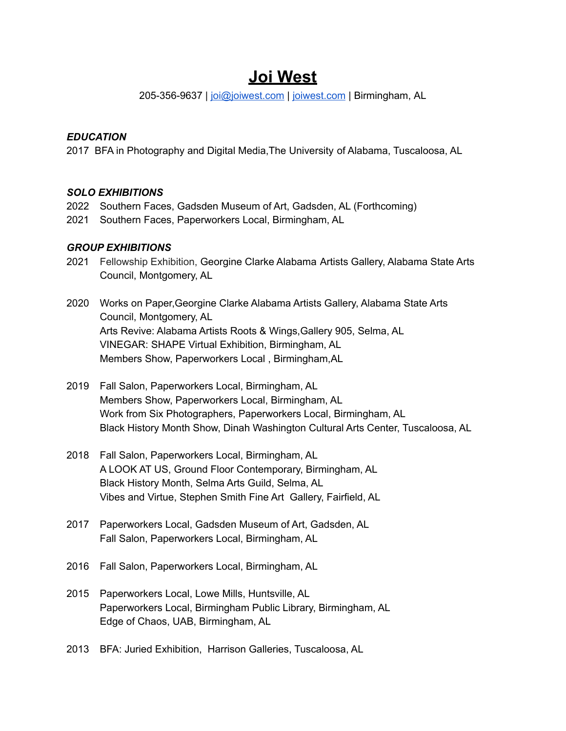# **Joi West**

205-356-9637 | [joi@joiwest.com](mailto:joibwest@gmail.com) | [joiwest.com](http://www.joiwest.com) | Birmingham, AL

## *EDUCATION*

2017 BFA in Photography and Digital Media,The University of Alabama, Tuscaloosa, AL

## *SOLO EXHIBITIONS*

- 2022 Southern Faces, Gadsden Museum of Art, Gadsden, AL (Forthcoming)
- 2021 Southern Faces, Paperworkers Local, Birmingham, AL

## *GROUP EXHIBITIONS*

- 2021 Fellowship Exhibition, Georgine Clarke Alabama Artists Gallery, Alabama State Arts Council, Montgomery, AL
- 2020 Works on Paper,Georgine Clarke Alabama Artists Gallery, Alabama State Arts Council, Montgomery, AL Arts Revive: Alabama Artists Roots & Wings,Gallery 905, Selma, AL VINEGAR: SHAPE Virtual Exhibition, Birmingham, AL Members Show, Paperworkers Local , Birmingham,AL
- 2019 Fall Salon, Paperworkers Local, Birmingham, AL Members Show, Paperworkers Local, Birmingham, AL Work from Six Photographers, Paperworkers Local, Birmingham, AL Black History Month Show, Dinah Washington Cultural Arts Center, Tuscaloosa, AL
- 2018 Fall Salon, Paperworkers Local, Birmingham, AL A LOOK AT US, Ground Floor Contemporary, Birmingham, AL Black History Month, Selma Arts Guild, Selma, AL Vibes and Virtue, Stephen Smith Fine Art Gallery, Fairfield, AL
- 2017 Paperworkers Local, Gadsden Museum of Art, Gadsden, AL Fall Salon, Paperworkers Local, Birmingham, AL
- 2016 Fall Salon, Paperworkers Local, Birmingham, AL
- 2015 Paperworkers Local, Lowe Mills, Huntsville, AL Paperworkers Local, Birmingham Public Library, Birmingham, AL Edge of Chaos, UAB, Birmingham, AL
- 2013 BFA: Juried Exhibition, Harrison Galleries, Tuscaloosa, AL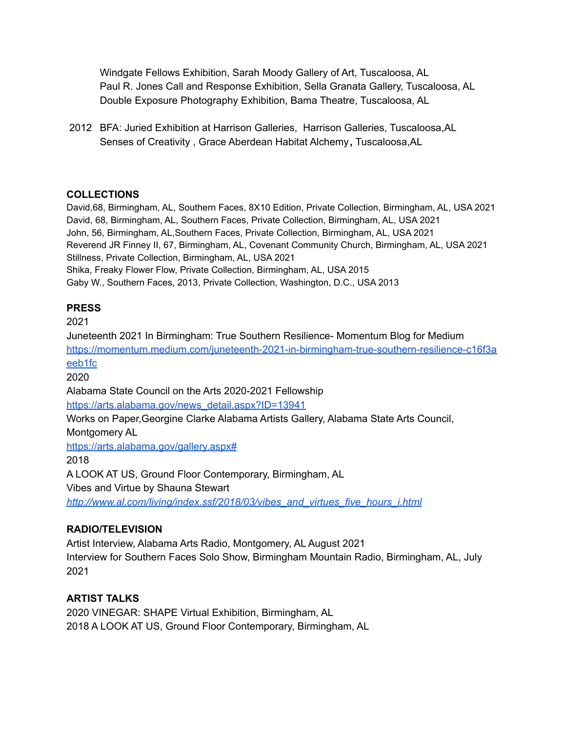Windgate Fellows Exhibition, Sarah Moody Gallery of Art, Tuscaloosa, AL Paul R. Jones Call and Response Exhibition, Sella Granata Gallery, Tuscaloosa, AL Double Exposure Photography Exhibition, Bama Theatre, Tuscaloosa, AL

2012 BFA: Juried Exhibition at Harrison Galleries, Harrison Galleries, Tuscaloosa,AL Senses of Creativity , Grace Aberdean Habitat Alchemy**,** Tuscaloosa,AL

## **COLLECTIONS**

David,68, Birmingham, AL, Southern Faces, 8X10 Edition, Private Collection, Birmingham, AL, USA 2021 David, 68, Birmingham, AL, Southern Faces, Private Collection, Birmingham, AL, USA 2021 John, 56, Birmingham, AL,Southern Faces, Private Collection, Birmingham, AL, USA 2021 Reverend JR Finney II, 67, Birmingham, AL, Covenant Community Church, Birmingham, AL, USA 2021 Stillness, Private Collection, Birmingham, AL, USA 2021 Shika, Freaky Flower Flow, Private Collection, Birmingham, AL, USA 2015 Gaby W., Southern Faces, 2013, Private Collection, Washington, D.C., USA 2013

#### **PRESS**

2021

Juneteenth 2021 In Birmingham: True Southern Resilience- Momentum Blog for Medium [https://momentum.medium.com/juneteenth-2021-in-birmingham-true-southern-resilience-c16f3a](https://momentum.medium.com/juneteenth-2021-in-birmingham-true-southern-resilience-c16f3aeeb1fc) [eeb1fc](https://momentum.medium.com/juneteenth-2021-in-birmingham-true-southern-resilience-c16f3aeeb1fc)

2020

Alabama State Council on the Arts 2020-2021 Fellowship

[https://arts.alabama.gov/news\\_detail.aspx?ID=13941](https://arts.alabama.gov/news_detail.aspx?ID=13941)

Works on Paper,Georgine Clarke Alabama Artists Gallery, Alabama State Arts Council, Montgomery AL

<https://arts.alabama.gov/gallery.aspx#>

2018

A LOOK AT US, Ground Floor Contemporary, Birmingham, AL

Vibes and Virtue by Shauna Stewart

*[http://www.al.com/living/index.ssf/2018/03/vibes\\_and\\_virtues\\_five\\_hours\\_i.html](http://www.al.com/living/index.ssf/2018/03/vibes_and_virtues_five_hours_i.html)*

# **RADIO/TELEVISION**

Artist Interview, Alabama Arts Radio, Montgomery, AL August 2021 Interview for Southern Faces Solo Show, Birmingham Mountain Radio, Birmingham, AL, July 2021

# **ARTIST TALKS**

2020 VINEGAR: SHAPE Virtual Exhibition, Birmingham, AL 2018 A LOOK AT US, Ground Floor Contemporary, Birmingham, AL